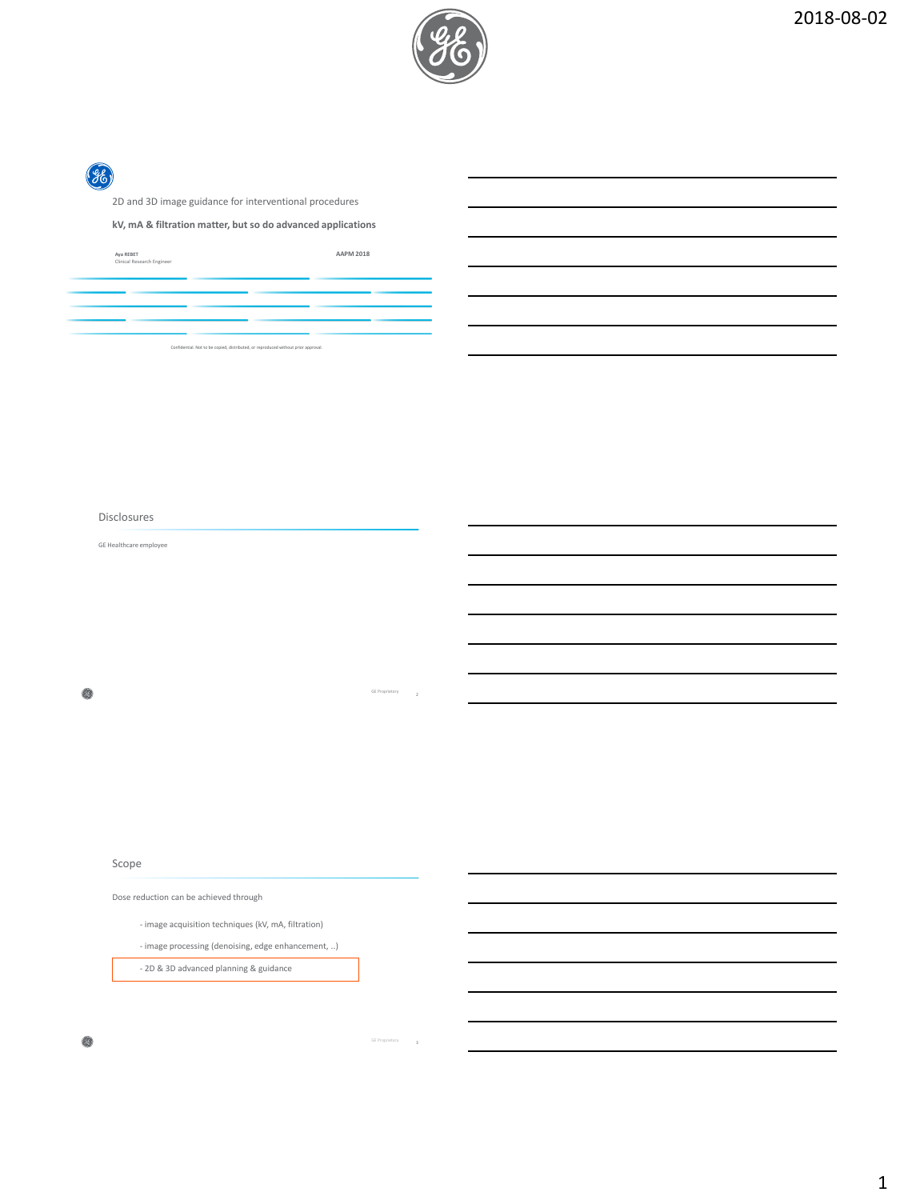

GE Proprietary

3

# $\mathscr{G}_6$

2D and 3D image guidance for interventional procedures

**kV, mA & filtration matter, but so do advanced applications**

| Aya REBET<br>Clinical Research Engineer |                                                                                    | <b>AAPM 2018</b> |
|-----------------------------------------|------------------------------------------------------------------------------------|------------------|
|                                         |                                                                                    |                  |
|                                         | Confidential. Not to be copied, distributed, or reproduced without prior approval. |                  |

Disclosures

GE Healthcare employee

Ø

## Scope

Dose reduction can be achieved through

- image acquisition techniques (kV, mA, filtration)

- image processing (denoising, edge enhancement, ..) - 2D & 3D advanced planning & guidance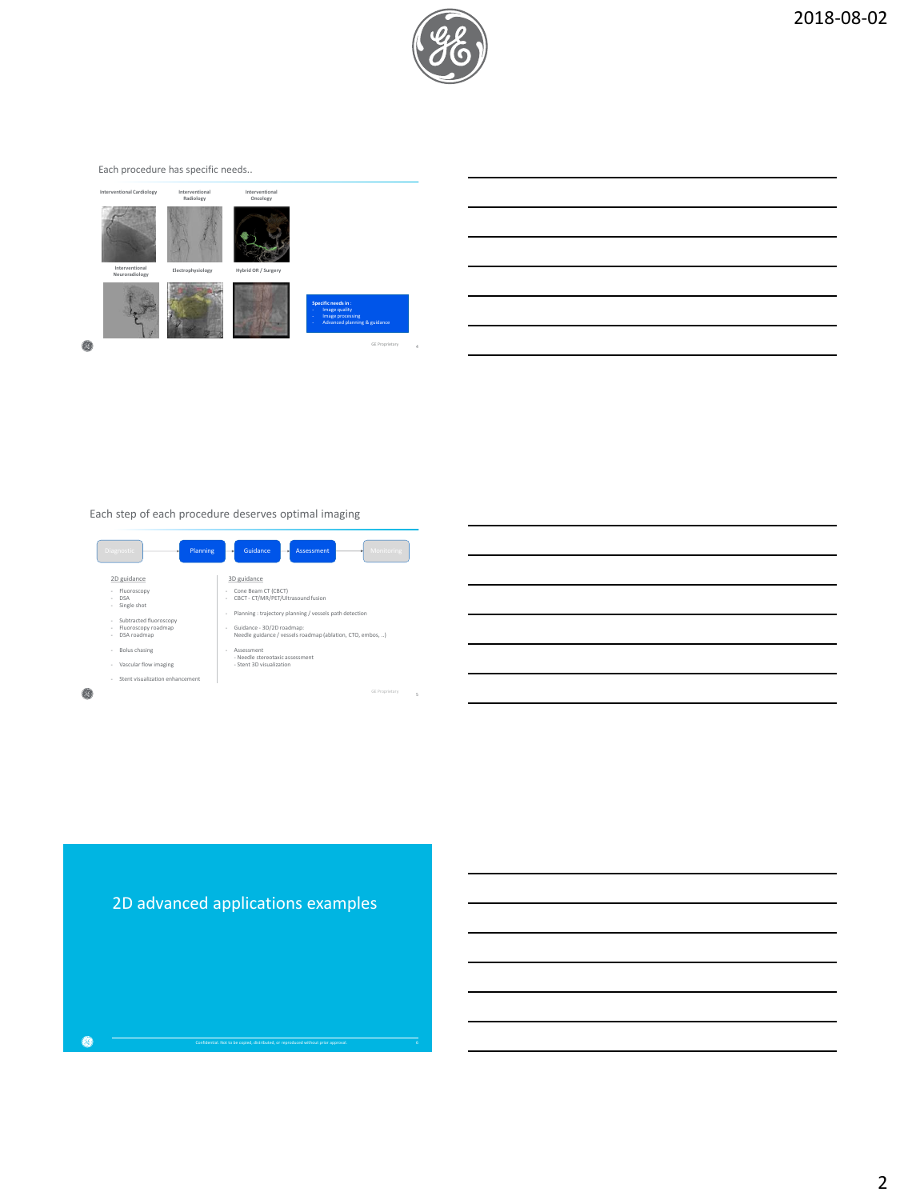

## Each procedure has specific needs..





2D advanced applications examples

 $\circledS$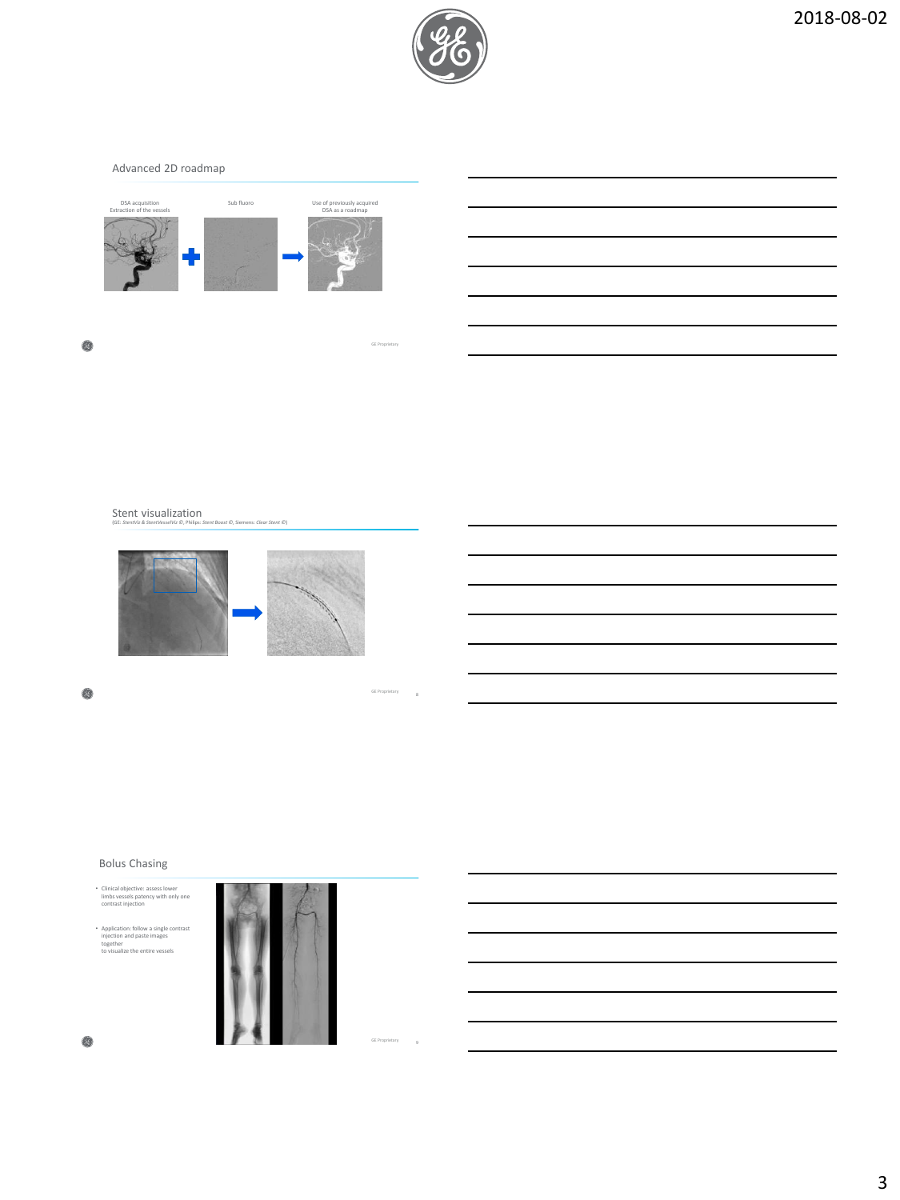

Advanced 2D roadmap



 $\circledS$ 

GE Prop

GE Proprietary

8

Stent visualization



(GE: *StentViz & StentVesselViz ©*, Philips: *Stent Boost ©,* Siemens: *Clear Stent ©*)

Ø

## Bolus Chasing

• Clinical objective: assess lower limbs vessels patency with only one contrast injection

• Application: follow a single contrast injection and paste images together to visualize the entire vessels

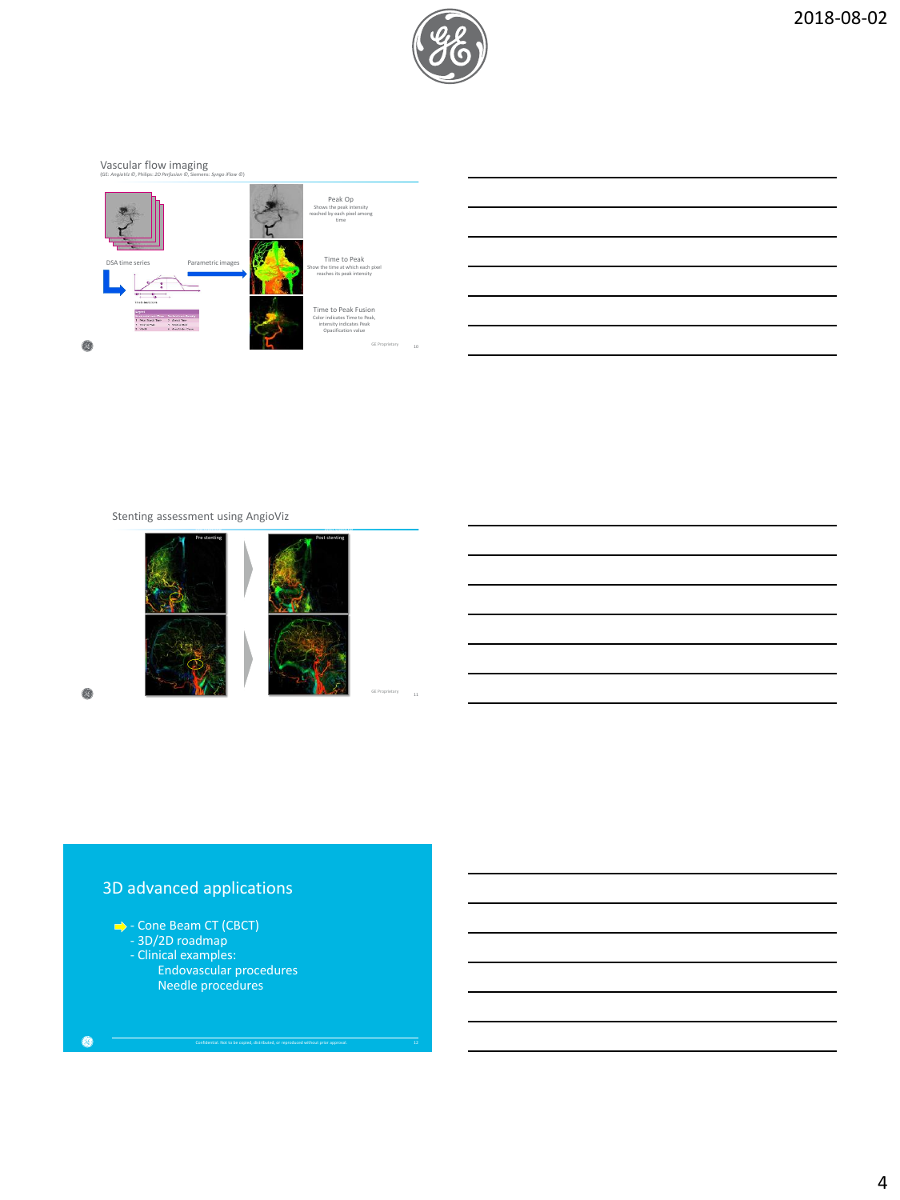

Vascular flow imaging (GE: *AngioViz ©*, Philips: *2D Perfusion ©,* Siemens: *Syngo iFlow ©*)





Stenting assessment using AngioViz



Ø

# 3D advanced applications

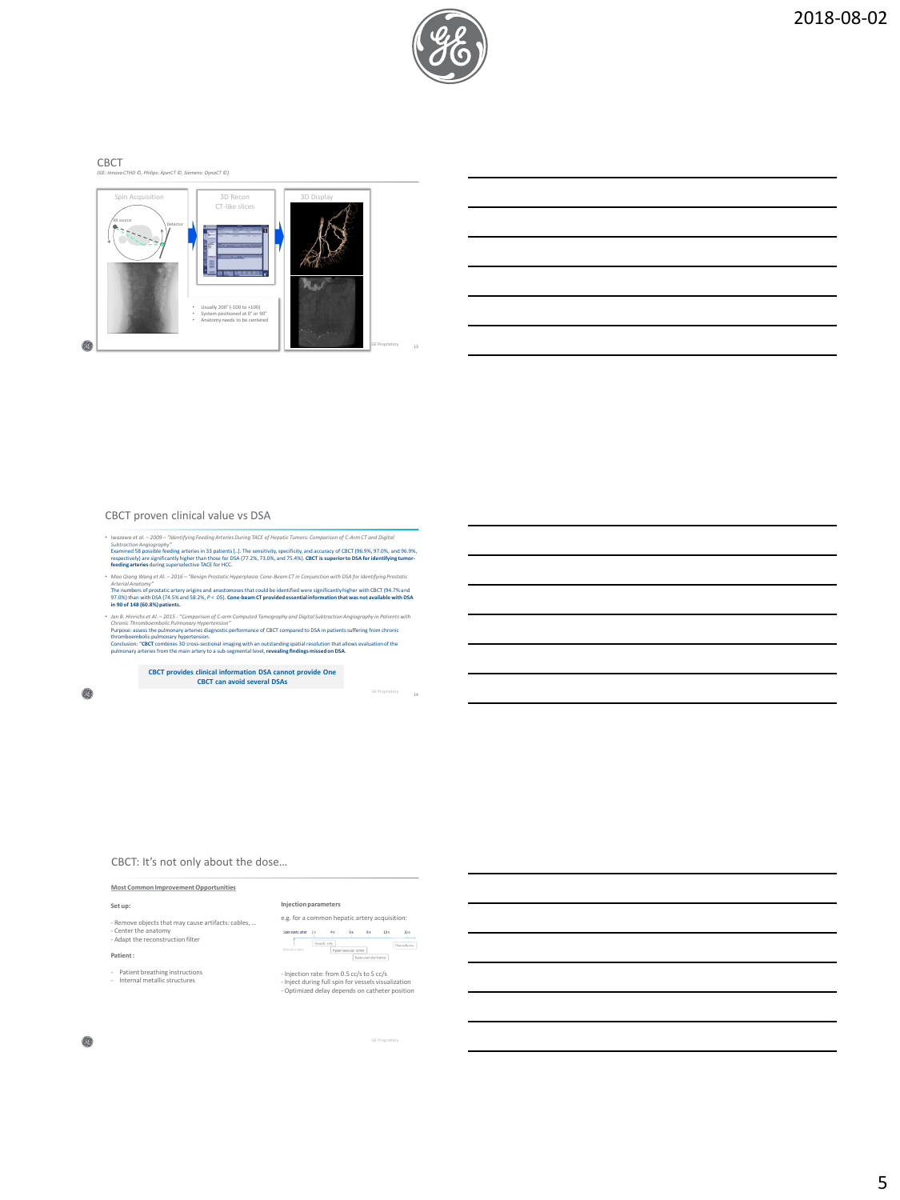

## CBCT *(GE: Innova CTHD ©, Philips: XperCT ©, Siemens: DynaCT ©)*



## CBCT proven clinical value vs DSA

- Iwazawa et al --2009 "dentifying Feeding Arteries During TACE of Hepotic Tumors: Comparison of CArm CT and Digital<br>Subtraction Anglography "Brig arteries in 31 patients (...) The sensitivity, specificity, and accuracy
- Maa Glang Wang et Al 2015 <sup>– s</sup>Benign Prostatic Hyperplasia: Cone-Beam CT in Conjunction with DSA for Identifying Prostatic<br>Artenial Anatomy<br>The Constant of DSA T25 Step aniglianal anastomases that could be identified
- Jon B. Hinrichs et Al. —2015 "Comparison of C-corm Computed Tomography and Digital Subtraction Anglography in Patients with<br>Chronic Thromhoembolic Pulmonary Hypertension"<br>Hypose: assess the pulmonary arteries diagnost

**CBCT provides clinical information DSA cannot provide One CBCT can avoid several DSAs**

Ø

## CBCT: It's not only about the dose…

## **Most Common Improvement Opportunities**

### **Injection parameters**

**Set up:** - Remove objects that may cause artifacts: cables, … - Center the anatomy - Adapt the reconstruction filter

- Patient breathing instructions - Internal metallic structures





- Injection rate: from 0.5 cc/s to 5 cc/s - Inject during full spin for vessels visualization - Optimized delay depends on catheter position

 $\circledcirc$ 

**Patient :**

GE Pro

GE Proprietary

14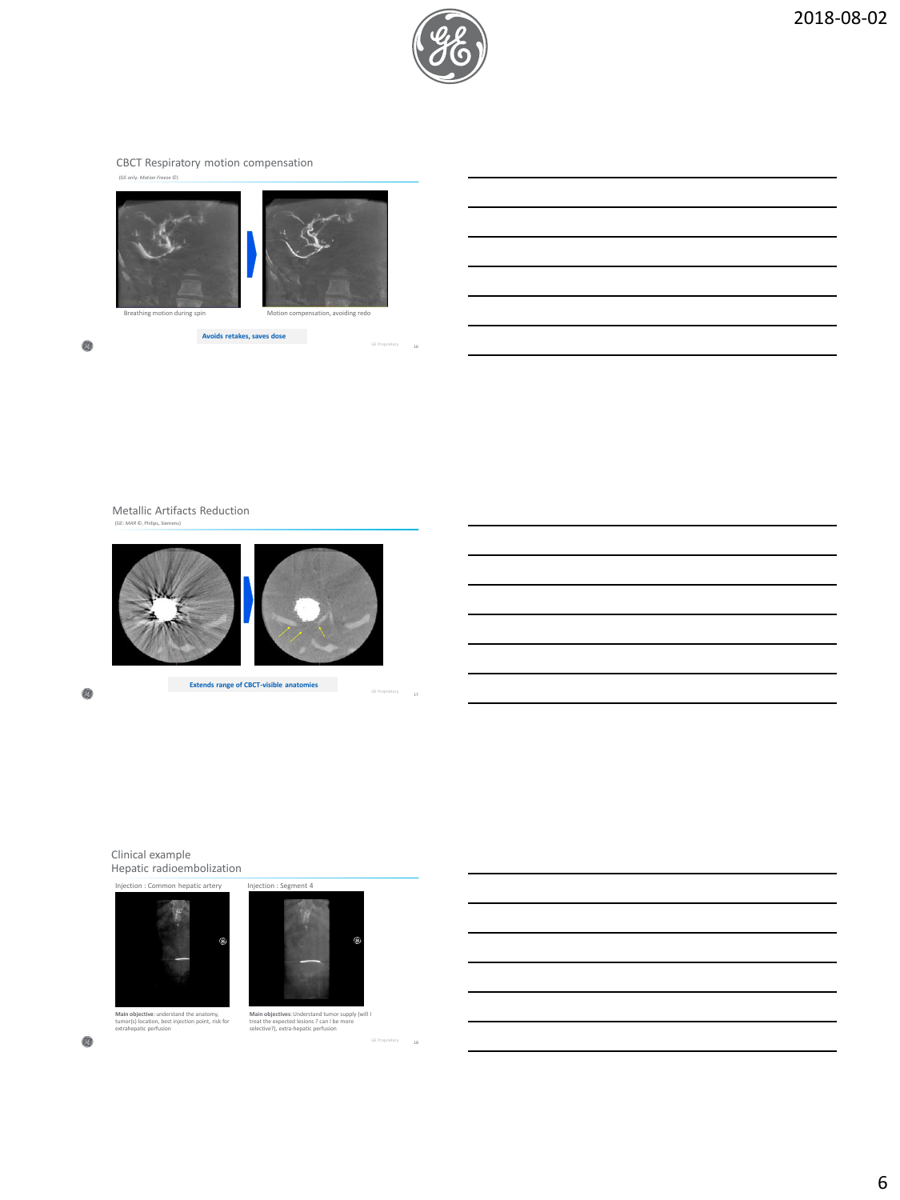

16

17

18

CBCT Respiratory motion compensation



**Avoids retakes, saves dose**

 $\circledS$ 

Metallic Artifacts Reduction (GE: *MAR* ©, Ph



**Extends range of CBCT-visible anatomies**

0

Clinical example Hepatic radioembolization



**Main objective**: understand the anatomy,<br>tumor(s) location, best injection point, risk for<br>extrahepatic perfusion



Injection : Segment 4

**Main objectives**: Understand tumor supply (will I<br>treat the expected lesions ? can I be more<br>selective?), extra-hepatic perfusion

 $\circledS$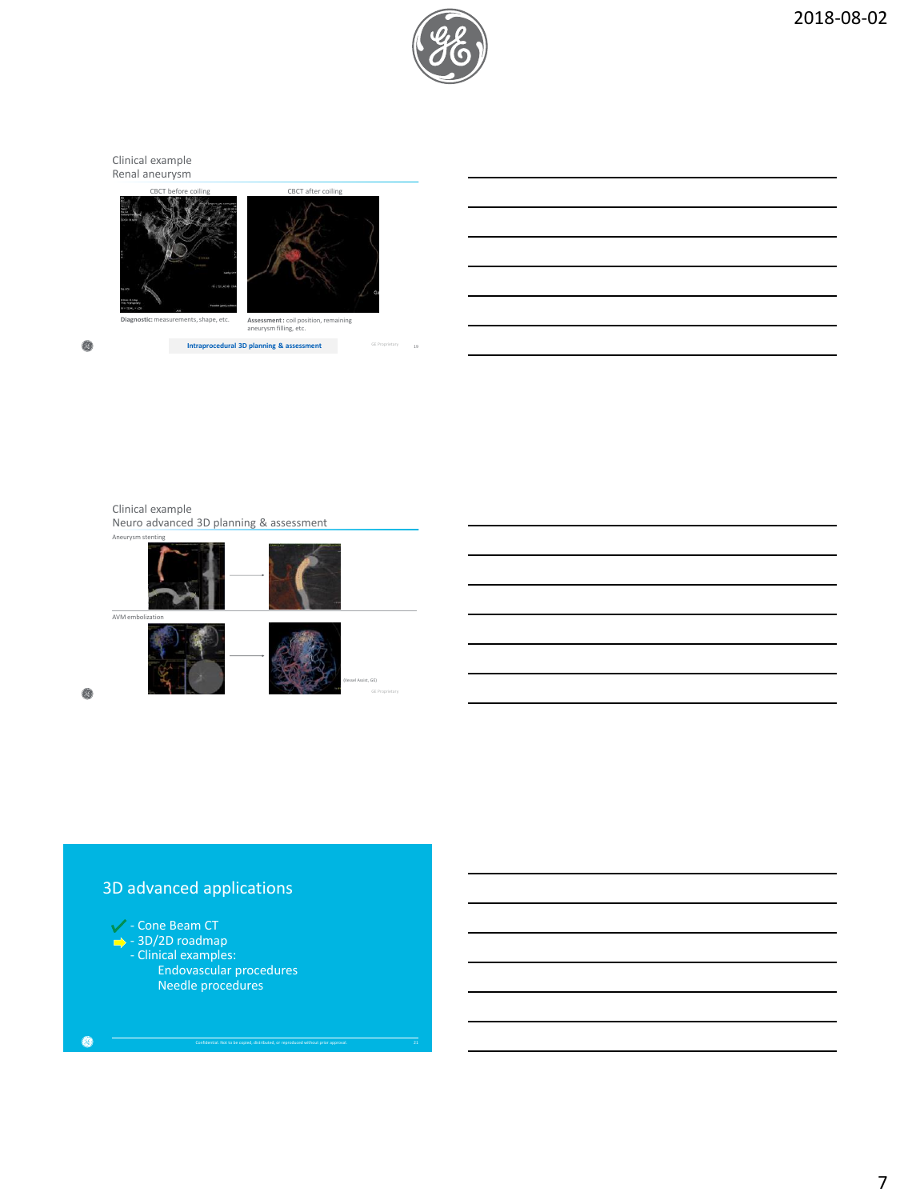

GE P

19

Clinical example Renal aneurysm



**Intraprocedural 3D planning & assessment**

 $\circledS$ 

Clinical example Neuro advanced 3D planning & assessment



# 3D advanced applications



Ø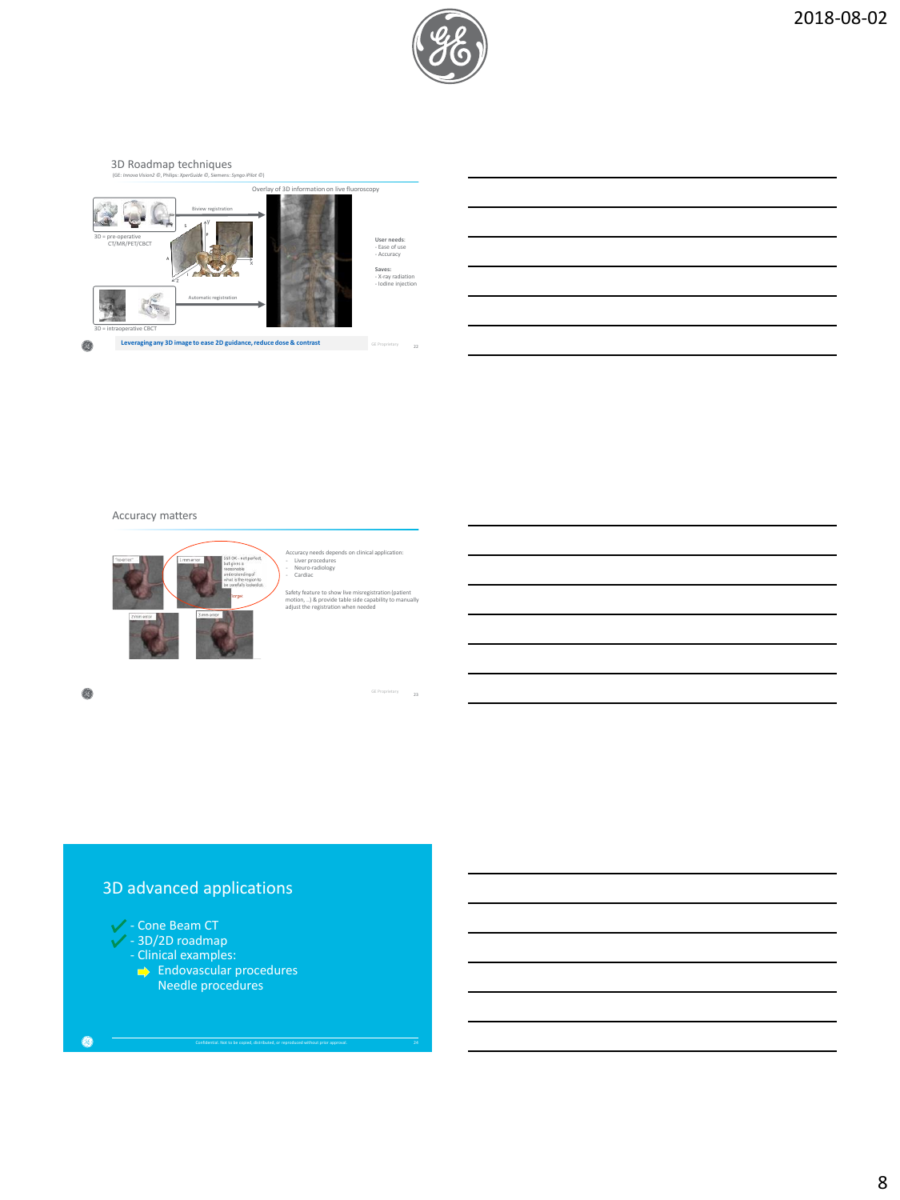







Accuracy matters



Accuracy needs depends on clinical application: - Liver procedures - Neuro-radiology - Cardiac

Safety feature to show live misregistration (patient motion, ..) & provide table side capability to manually adjust the registration when needed

Ø

# 3D advanced applications



Ø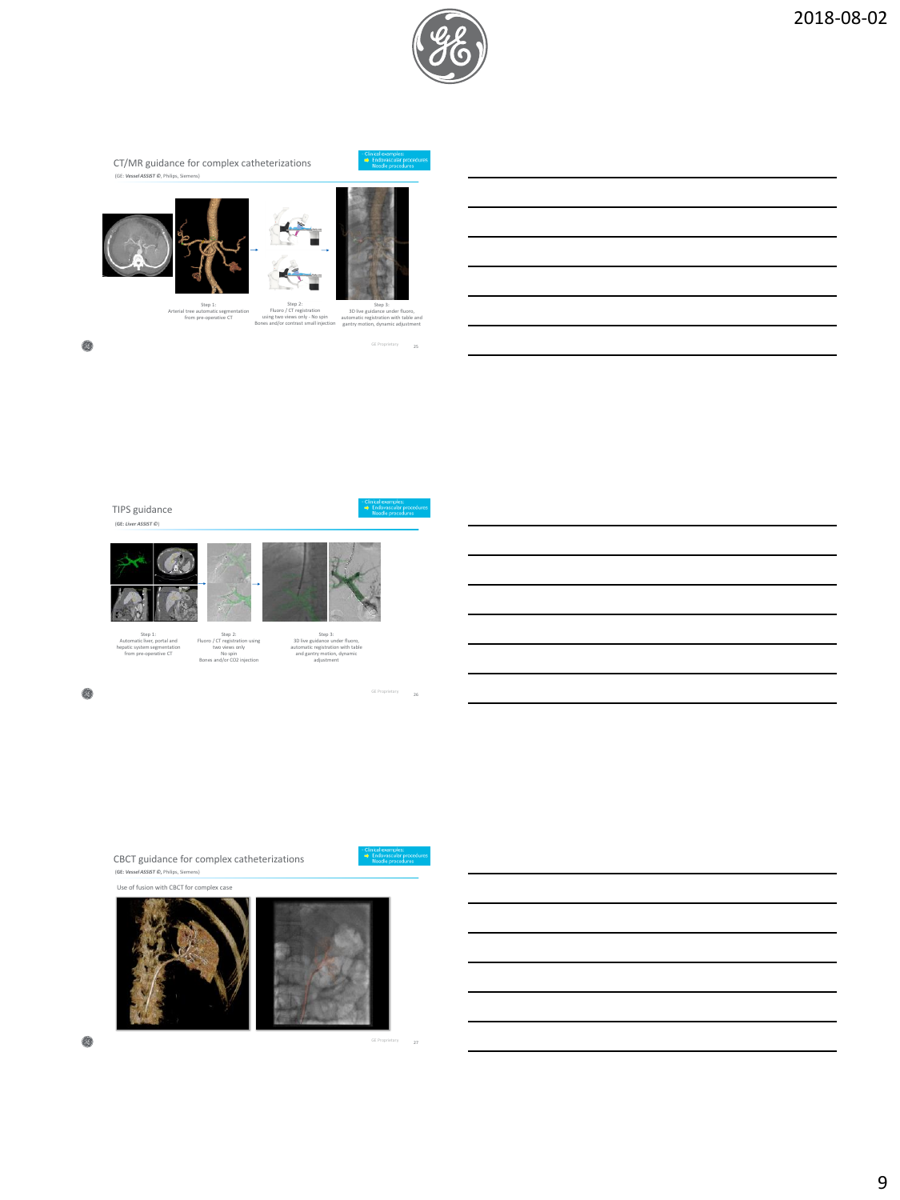

CT/MR guidance for complex catheterizations (GE: *Vessel ASSIST ©*, Philips, Siemens)







- Cinical examples:<br>- Endovascular procedui<br>- Mondis expectives

Arterial tree automatic segmentation from pre-operative CT

GE Proprietary <sup>25</sup>

omical exali<br>Endovas<br>Needle d

TIPS guidance (**GE:** *Liver ASSIST ©*)





Step 1: Automatic liver, portal and hepatic system segmentation from pre-operative CT

Step 2: Fluoro / CT registration using two views only No spin Bones and/or CO2 injection

Step 3: 3D live guidance under fluoro, automatic registration with table and gantry motion, dynamic adjustment

Ø

 $\circledcirc$ 



**Example of Endovasci**<br>Endovasci<br>Moodle oo

 $\overline{27}$ 

GE Proprietary <sup>26</sup>

(**GE:** *Vessel ASSIST ©,* Philips, Siemens)







 $\circledS$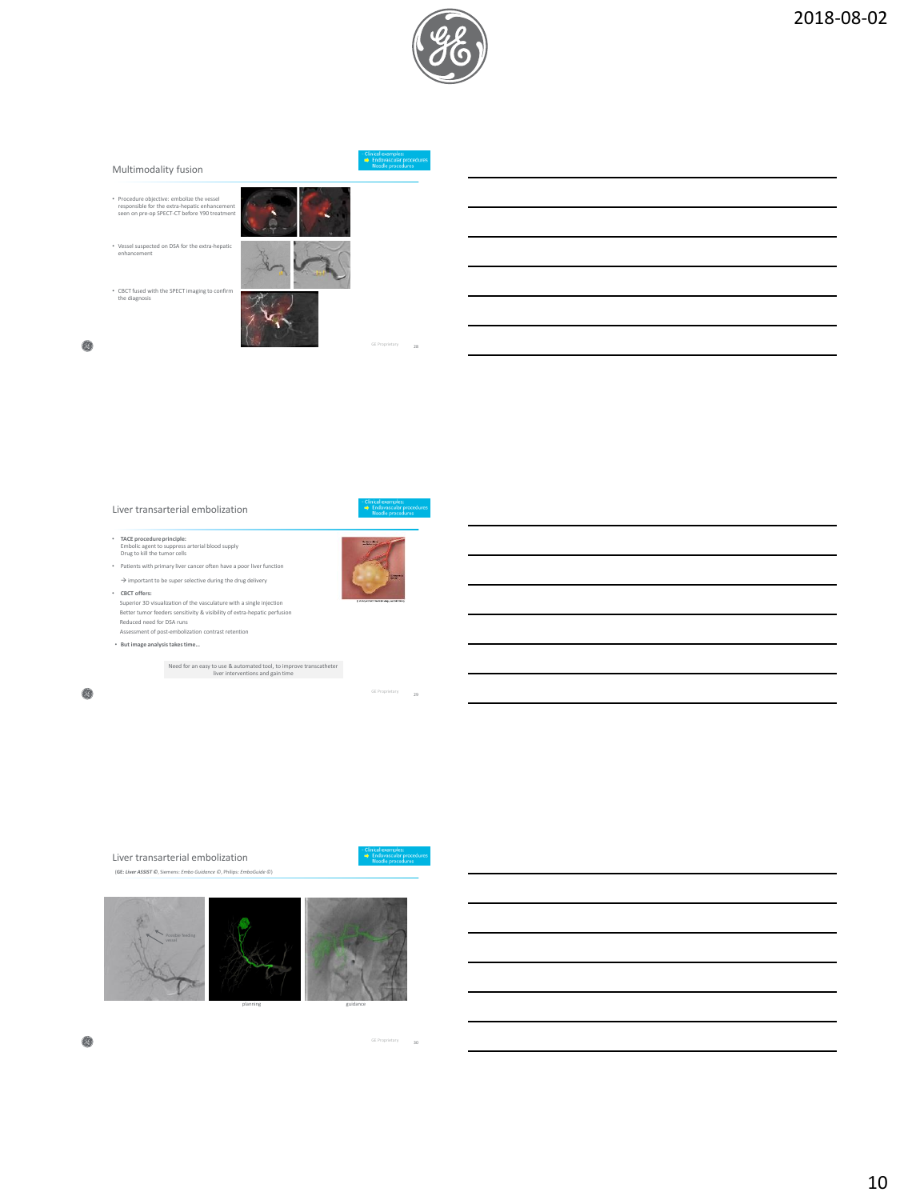





- **TACE procedure principle:**  Embolic agent to suppress arterial blood supply Drug to kill the tumor cells
- Patients with primary liver cancer often have a poor liver function
- $\rightarrow$  important to be super selective during the drug delivery • **CBCT offers:**
- Superior 3D visualization of the vasculature with a single injection<br>Better tumor feeders sensitivity & visibility of extra-hepatic perfusion<br>Reduced need for DSA runs<br>Assessment of post-embolization contrast retention
- 
- **But image analysis takes time…**

Need for an easy to use & automated tool, to improve transcatheter liver interventions and gain time

Ø





30

GE Proprietary 29



planning guidance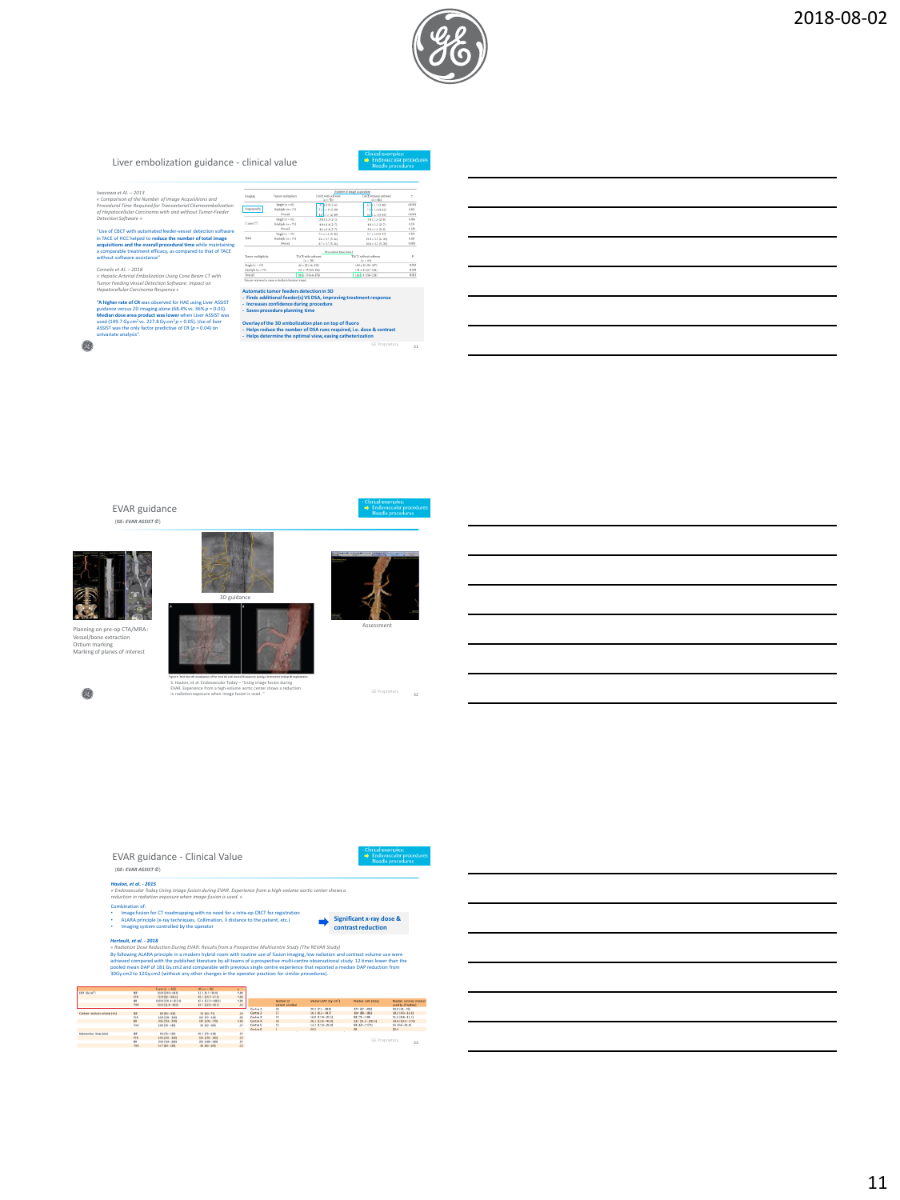

## Liver embolization guidance - clinical value

iwarawa et Al. – 2013<br>e Comparison of the Number of Image Acquisitions and<br>Procedural Time Required for Transarterial Chemoembolization<br>of Hepatocellular Carcinoma with and without Tumor-Feeder<br>Detection Software »

"Use of CBCT with automated feeder-vessel detection software<br>in TACE of HCC helped to reduce the number of total image<br>acquisitions and the overall procedural time while maintaining<br>a comparable treatment efficacy, as com

*Cornelis et Al. – 2018* « Hepatic Arterial Embolization Using Cone Beam CT with<br>Tumor Feeding Vessel Detection Software: Impact on<br>Hepatocellular Carcinoma Response »

**"A higher rate of CR** was observed for HAE using Liver ASSIST<br>guidance versus 20 limaging alone (68.4% vs. 36% p = 0.03).<br>**Median dose area product was lower** when Liver ASSIST was<br>used (149.7 Gycm<sup>2</sup>vs. 227.8 Gycm<sup>2</sup> $p =$ 

◎

| <b>TACE without subscars</b><br>$44 - 841$<br>63 6 1.7 (3-80)<br>7412416-00<br>64 210-10<br>14+150.0<br>481120-7<br>3.4 x 1.4 (2-8)<br>$9.7 + 3.0$ (5-47) | ٠<br>19.001<br>0.301<br><0.001<br>6,851<br>0.35<br>4.234 |
|-----------------------------------------------------------------------------------------------------------------------------------------------------------|----------------------------------------------------------|
|                                                                                                                                                           |                                                          |
|                                                                                                                                                           |                                                          |
|                                                                                                                                                           |                                                          |
|                                                                                                                                                           |                                                          |
|                                                                                                                                                           |                                                          |
|                                                                                                                                                           |                                                          |
|                                                                                                                                                           |                                                          |
|                                                                                                                                                           | 0.308                                                    |
| 110 + 32 16-201                                                                                                                                           | 0.885                                                    |
| 08413205-20                                                                                                                                               | 0.004                                                    |
| Descriptional Great Institute<br>TACE without seducant<br>(4.18)                                                                                          |                                                          |
| 189 ± 28 (58 - 187)                                                                                                                                       | 6.003                                                    |
| 123 ± 32 (67-226)                                                                                                                                         |                                                          |
|                                                                                                                                                           |                                                          |
|                                                                                                                                                           | 116 31 (56-226)                                          |

| - Saves procedure planning time                                                                                                                                                            |    |
|--------------------------------------------------------------------------------------------------------------------------------------------------------------------------------------------|----|
| Overlay of the 3D embolization plan on top of fluoro<br>- Helps reduce the number of DSA runs required, i.e. dose & contrast<br>- Helps determine the optimal view, easing catheterization |    |
| GE Proprietary                                                                                                                                                                             | 31 |

EVAR guidance

(**GE:** *EVAR ASSIST ©*)



Planning on pre-op CTA/MRA: Vessel/bone extraction Ostium marking Marking of planes of interest





Pointed<br>End<br>Noc



S. Haulon, et al. Endovascular Today – "Using image fusion during EVAR. Experience from a high-volume aortic center shows a reduction in radiation exposure when image fusion is used. "

Ø



32

EVAR guidance - Clinical Value **Camcarexam**<br>Endovasci<br>Moodle.oo (**GE:** *EVAR ASSIST ©*) **Haulon, et al. - 2015**<br>« Endovascular Today Using image fusion during EVAR. Experience from a high-volume aortic center shows a<br>reduction in radiation exposure when image fusion is used. » Combination of:<br>• Image fusion for CT roadmapping with no need for a intra-op CBCT for registration<br>• ALARA principle (x-ray techniques, Collimation, II distance to the patient, etc.)<br>• Imaging system controlled by the ope **Significant x-ray dose & contrastreduction** Herbault, et al. - 2018<br>A Radiotion Dose Reduction During EVAR: Results from a Prospective Multicentre Study (The REVAR Study)<br>By fiblowing ALARA principle in a modern hybrid room with noutine use of facion mapig<sub>i</sub> (ow ra in

|                                | FEW          | 72.9 (S2 - 508.21)    | 43.7 (04.7 - 53.5)  | 5,61                    |           |                   |                                  |                     |                      |
|--------------------------------|--------------|-----------------------|---------------------|-------------------------|-----------|-------------------|----------------------------------|---------------------|----------------------|
|                                | ü            | 198.0 (83) 8-222.40   | 47.4 (87.2 - 188.3) | 1.61                    |           | <b>Nordsey of</b> | Median DAP (Dy cm <sup>2</sup> ) | Median CSK (reflat) | Motion contrast made |
|                                | THO-         | 33.0 G1.4 - 38.08     | 24.7 (22.0 - 28.7)  | £3                      |           | antiest enrolled  |                                  |                     | used is of lodinal.  |
|                                |              |                       |                     |                         | Cantra    |                   | 20.2 (7.1-38.9)                  | 124 107-3310        | 11.8 (21-19)         |
| Contrast readium volume (etc)  | $\mathbf{H}$ | 83 85-300             | 59 ISS-758          | M                       | Carstra 2 | 22                | $10.3$ $10.2 - 14.7$             | 104 (80 - 195)      | $10.2160 - 16.01$    |
|                                | 55%          | 1.8.8 (1976) - Storie | 105, (NS-116)       | $\overline{1}$          | Centre 3  |                   | 56.0 (11.9-22.5)                 | 83 (71-13%)         | 31.5 (6.6-13.3)      |
|                                | ti.          | 236 CESB-2761         | 130 (830 - 170)     | <b>KAN</b>              | Centre 4  | <b>is</b>         | 26.1 (13.6 - 45.56)              | 132 151.5 - 333.51  | 34.4 (03.5 - 17.0)   |
|                                | w            | 100 (NH-1835)         | 80 (N3-300)         | $\overline{u}$          | Centre S. | $\overline{12}$   | 14.2 (11.0-36.8)                 | 83 (62-112.1)       | 25 19.6-18.83        |
|                                |              |                       |                     |                         | Centre 6  |                   | 35.5                             | 98                  | 22.4                 |
| <b>Internation time (rend)</b> | 6.6          | 99 (95-1300)          | 60.5 (PS-128)       |                         |           |                   |                                  |                     |                      |
|                                | FE No        | 150 (105 - 180)       | 150 (150 - 140)     |                         |           |                   |                                  |                     |                      |
|                                | ×            | <b>233 (158-150)</b>  | 205 (1981-1983)     |                         |           |                   |                                  | GE Proprietary      | 33                   |
|                                | two.         | 117 80-130            | 80 Bi3-305)         | $\overline{\mathbf{z}}$ |           |                   |                                  |                     |                      |
|                                |              |                       |                     |                         |           |                   |                                  |                     |                      |

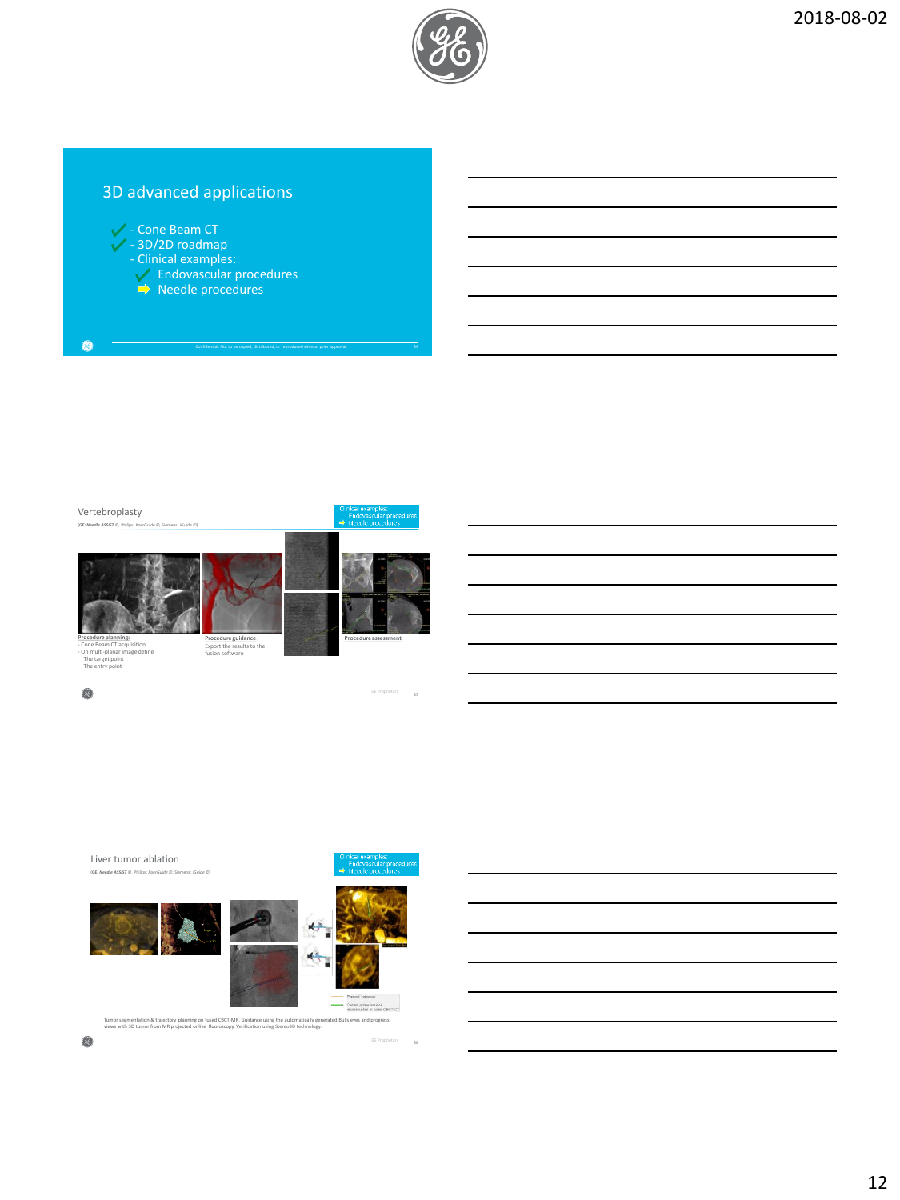

# 3D advanced applications



 $^{\circ}$ 

## Vertebroplasty

(**GE:** *Needle ASSIST ©*, Philips: *XperGuide ©,* Siemens: *iGuide ©*)









35

**Procedure planning:**<br>- Cone Beam CT acquisition<br>- On multi-planar image define<br>The target point<br>The entry point

**Procedure guidance**: Export the results to the fusion software





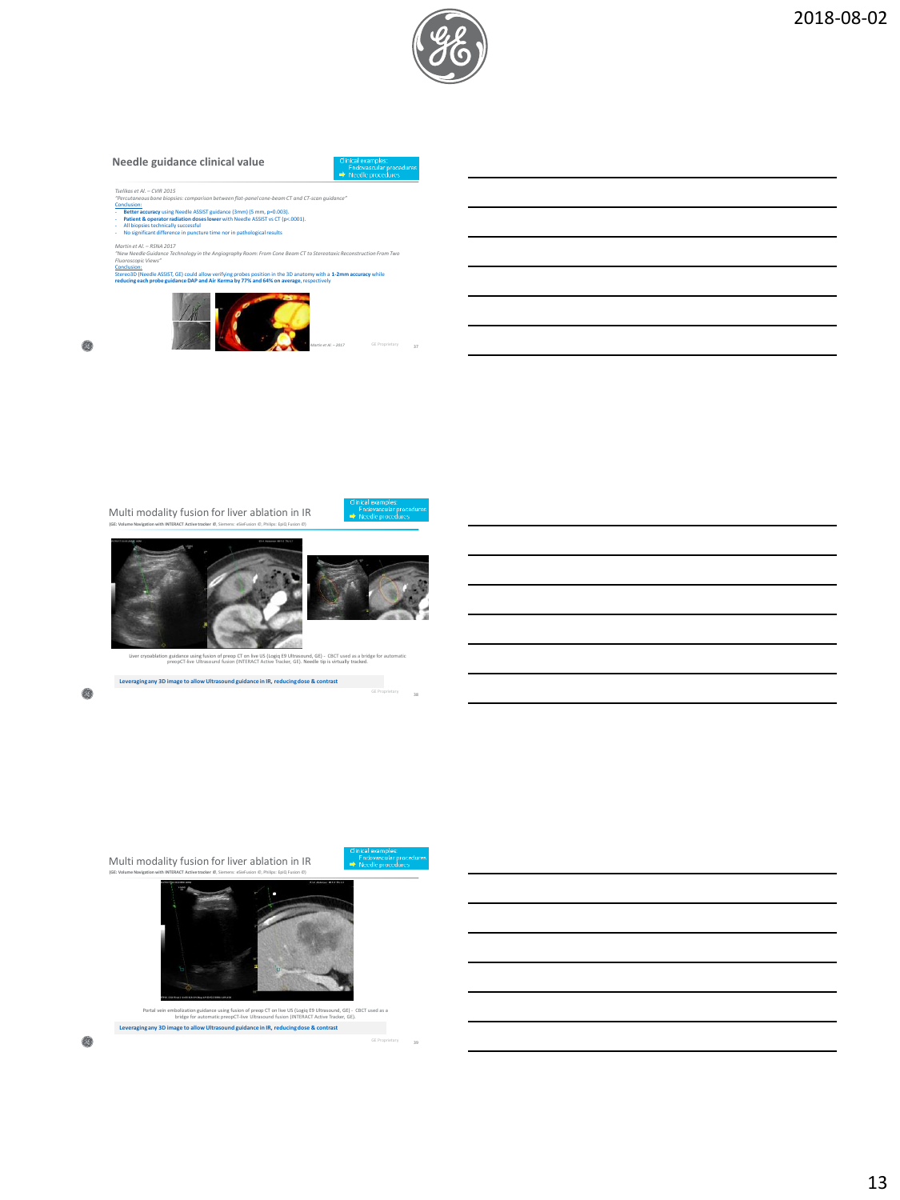

## **Needle guidance clinical value**

*Tselikas et Al. – CVIR 2015 "Percutaneous bone biopsies: comparison between flat-panel cone-beam CT and CT-scan guidance"*

Conclusion:

- **Better accuracy** using Needle ASSIST guidance (3mm) (5 mm, p=0.003). - **Patient & operator radiation doses lower** with Needle ASSIST vs CT (p<.0001).

- All biopsies technically successful - No significant difference in puncture time nor in pathological results

*Martin et Al. – RSNA 2017*

*Fluoroscopic Views"*

Conclusion:

Stereo3D (Needle ASSIST, GE) could allow verifying probes position in the 3D anatomy with a **1-2mm accuracy** while **reducing each probe guidance DAP and Air Kerma by 77% and 64% on average**, respectively

*"New Needle Guidance Technology in the Angiography Room: From Cone Beam CT to Stereotaxic Reconstruction From Two* 



Ø

Multi modality fusion for liver ablation in IR **(GE: Volume Navigation with INTERACT Active tracker** *©*, Siemens: eSieFusion *©*, Philips: EpiQ Fusion *©*)



39



Liver cryoablation guidance using fusion of preop CT on live US (Logiq E9 Ultrasound, GE) - CBCT used as a bridge for automatic preopCT-live Ultrasound fusion (INTERACT Active Tracker, GE). Needle tip is virtually tracked.

**Leveraging any 3D image to allow Ultrasound guidance in IR, reducing dose & contrast**

Ø



**Leveraging any 3D image to allow Ultrasound guidance in IR, reducing dose & contrast**